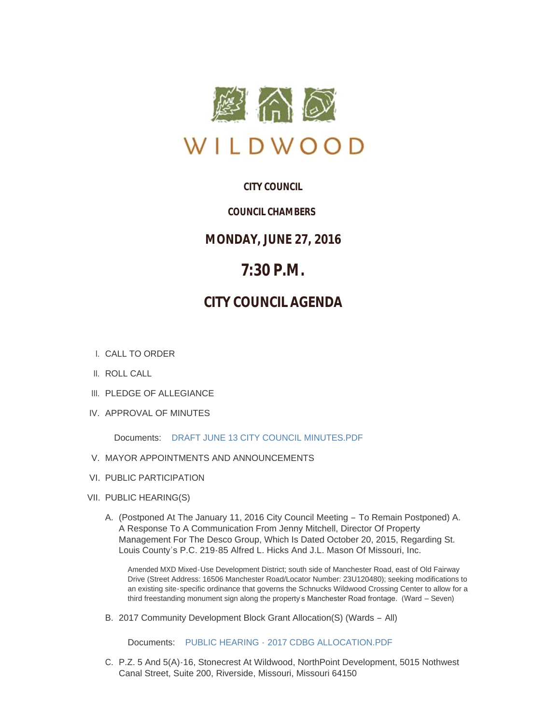

# **CITY COUNCIL**

# *COUNCIL CHAMBERS*

# **MONDAY, JUNE 27, 2016**

# **7:30 P.M.**

# **CITY COUNCIL AGENDA**

- CALL TO ORDER I.
- II. ROLL CALL
- III. PLEDGE OF ALLEGIANCE
- IV. APPROVAL OF MINUTES

Documents: [DRAFT JUNE 13 CITY COUNCIL MINUTES.PDF](http://mo-wildwood.civicplus.com/AgendaCenter/ViewFile/Item/7367?fileID=11076)

- V. MAYOR APPOINTMENTS AND ANNOUNCEMENTS
- VI. PUBLIC PARTICIPATION
- VII. PUBLIC HEARING(S)
	- A. (Postponed At The January 11, 2016 City Council Meeting To Remain Postponed) A. A Response To A Communication From Jenny Mitchell, Director Of Property Management For The Desco Group, Which Is Dated October 20, 2015, Regarding St. Louis County's P.C. 219-85 Alfred L. Hicks And J.L. Mason Of Missouri, Inc.

Amended MXD Mixed-Use Development District; south side of Manchester Road, east of Old Fairway Drive (Street Address: 16506 Manchester Road/Locator Number: 23U120480); seeking modifications to an existing site-specific ordinance that governs the Schnucks Wildwood Crossing Center to allow for a third freestanding monument sign along the property's Manchester Road frontage. (Ward - Seven)

2017 Community Development Block Grant Allocation(S) (Wards – All) B.

Documents: PUBLIC HEARING - [2017 CDBG ALLOCATION.PDF](http://mo-wildwood.civicplus.com/AgendaCenter/ViewFile/Item/7378?fileID=11078)

C. P.Z. 5 And 5(A)-16, Stonecrest At Wildwood, NorthPoint Development, 5015 Nothwest Canal Street, Suite 200, Riverside, Missouri, Missouri 64150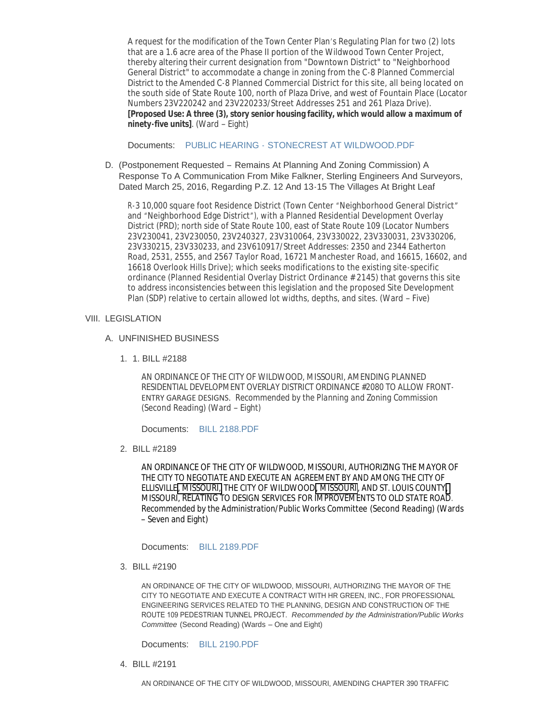A request for the modification of the Town Center Plan's Regulating Plan for two (2) lots that are a 1.6 acre area of the Phase II portion of the Wildwood Town Center Project, thereby altering their current designation from "Downtown District" to "Neighborhood General District" to accommodate a change in zoning from the C-8 Planned Commercial District to the Amended C-8 Planned Commercial District for this site, all being located on the south side of State Route 100, north of Plaza Drive, and west of Fountain Place (Locator Numbers 23V220242 and 23V220233/Street Addresses 251 and 261 Plaza Drive). **[Proposed Use: A three (3), story senior housing facility, which would allow a maximum of ninety-five units]**. (Ward – Eight)

Documents: PUBLIC HEARING - [STONECREST AT WILDWOOD.PDF](http://mo-wildwood.civicplus.com/AgendaCenter/ViewFile/Item/7379?fileID=11079)

(Postponement Requested – Remains At Planning And Zoning Commission) A D. Response To A Communication From Mike Falkner, Sterling Engineers And Surveyors, Dated March 25, 2016, Regarding P.Z. 12 And 13-15 The Villages At Bright Leaf

R-3 10,000 square foot Residence District (Town Center "Neighborhood General District" and "Neighborhood Edge District"), with a Planned Residential Development Overlay District (PRD); north side of State Route 100, east of State Route 109 (Locator Numbers 23V230041, 23V230050, 23V240327, 23V310064, 23V330022, 23V330031, 23V330206, 23V330215, 23V330233, and 23V610917/Street Addresses: 2350 and 2344 Eatherton Road, 2531, 2555, and 2567 Taylor Road, 16721 Manchester Road, and 16615, 16602, and 16618 Overlook Hills Drive); which seeks modifications to the existing site-specific ordinance (Planned Residential Overlay District Ordinance # 2145) that governs this site to address inconsistencies between this legislation and the proposed Site Development Plan (SDP) relative to certain allowed lot widths, depths, and sites. (Ward – Five)

# VIII. LEGISLATION

## UNFINISHED BUSINESS A.

1. BILL #2188 1.

AN ORDINANCE OF THE CITY OF WILDWOOD, MISSOURI, AMENDING PLANNED RESIDENTIAL DEVELOPMENT OVERLAY DISTRICT ORDINANCE #2080 TO ALLOW FRONT-ENTRY GARAGE DESIGNS. *Recommended by the Planning and Zoning Commission* (Second Reading) (Ward – Eight)

Documents: [BILL 2188.PDF](http://mo-wildwood.civicplus.com/AgendaCenter/ViewFile/Item/7396?fileID=11085)

BILL #2189 2.

AN ORDINANCE OF THE CITY OF WILDWOOD, MISSOURI, AUTHORIZING THE MAYOR OF THE CITY TO NEGOTIATE AND EXECUTE AN AGREEMENT BY AND AMONG THE CITY OF ELLISVILLE, MISSOURI, THE CITY OF WILDWOOD, MISSOURI, AND ST. LOUIS COUNTY, MISSOURI, RELATING TO DESIGN SERVICES FOR IMPROVEMENTS TO OLD STATE ROAD. *Recommended by the Administration/Public Works Committee* (Second Reading) (Wards – Seven and Eight)

Documents: [BILL 2189.PDF](http://mo-wildwood.civicplus.com/AgendaCenter/ViewFile/Item/7397?fileID=11086)

BILL #2190 3.

AN ORDINANCE OF THE CITY OF WILDWOOD, MISSOURI, AUTHORIZING THE MAYOR OF THE CITY TO NEGOTIATE AND EXECUTE A CONTRACT WITH HR GREEN, INC., FOR PROFESSIONAL ENGINEERING SERVICES RELATED TO THE PLANNING, DESIGN AND CONSTRUCTION OF THE ROUTE 109 PEDESTRIAN TUNNEL PROJECT. *Recommended by the Administration/Public Works Committee* (Second Reading) (Wards – One and Eight)

Documents: [BILL 2190.PDF](http://mo-wildwood.civicplus.com/AgendaCenter/ViewFile/Item/7398?fileID=11087)

BILL #2191 4.

AN ORDINANCE OF THE CITY OF WILDWOOD, MISSOURI, AMENDING CHAPTER 390 TRAFFIC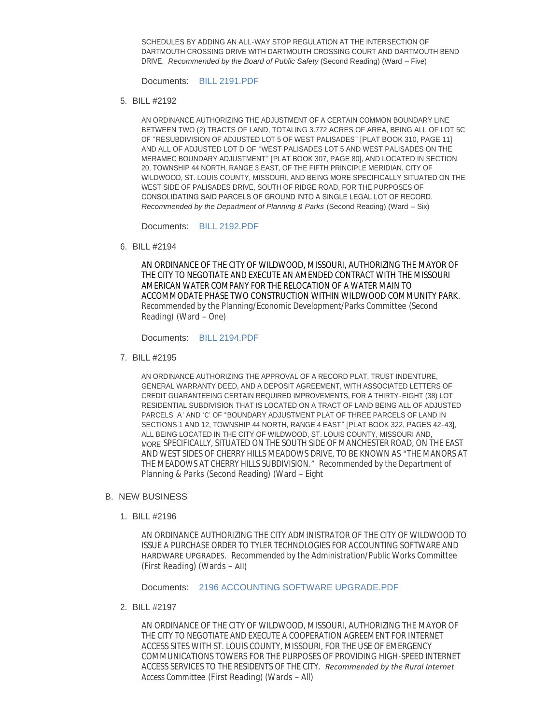SCHEDULES BY ADDING AN ALL-WAY STOP REGULATION AT THE INTERSECTION OF DARTMOUTH CROSSING DRIVE WITH DARTMOUTH CROSSING COURT AND DARTMOUTH BEND DRIVE. *Recommended by the Board of Public Safety* (Second Reading) (Ward – Five)

Documents: [BILL 2191.PDF](http://mo-wildwood.civicplus.com/AgendaCenter/ViewFile/Item/7399?fileID=11088)

BILL #2192 5.

AN ORDINANCE AUTHORIZING THE ADJUSTMENT OF A CERTAIN COMMON BOUNDARY LINE BETWEEN TWO (2) TRACTS OF LAND, TOTALING 3.772 ACRES OF AREA, BEING ALL OF LOT 5C OF "RESUBDIVISION OF ADJUSTED LOT 5 OF WEST PALISADES" [PLAT BOOK 310, PAGE 11] AND ALL OF ADJUSTED LOT D OF "WEST PALISADES LOT 5 AND WEST PALISADES ON THE MERAMEC BOUNDARY ADJUSTMENT" [PLAT BOOK 307, PAGE 80], AND LOCATED IN SECTION 20, TOWNSHIP 44 NORTH, RANGE 3 EAST, OF THE FIFTH PRINCIPLE MERIDIAN, CITY OF WILDWOOD, ST. LOUIS COUNTY, MISSOURI, AND BEING MORE SPECIFICALLY SITUATED ON THE WEST SIDE OF PALISADES DRIVE, SOUTH OF RIDGE ROAD, FOR THE PURPOSES OF CONSOLIDATING SAID PARCELS OF GROUND INTO A SINGLE LEGAL LOT OF RECORD. *Recommended by the Department of Planning & Parks* (Second Reading) (Ward – Six)

Documents: [BILL 2192.PDF](http://mo-wildwood.civicplus.com/AgendaCenter/ViewFile/Item/7400?fileID=11089)

BILL #2194 6.

AN ORDINANCE OF THE CITY OF WILDWOOD, MISSOURI, AUTHORIZING THE MAYOR OF THE CITY TO NEGOTIATE AND EXECUTE AN AMENDED CONTRACT WITH THE MISSOURI AMERICAN WATER COMPANY FOR THE RELOCATION OF A WATER MAIN TO ACCOMMODATE PHASE TWO CONSTRUCTION WITHIN WILDWOOD COMMUNITY PARK. *Recommended by the Planning/Economic Development/Parks Committee* (Second Reading) (Ward – One)

Documents: [BILL 2194.PDF](http://mo-wildwood.civicplus.com/AgendaCenter/ViewFile/Item/7401?fileID=11090)

BILL #2195 7.

AN ORDINANCE AUTHORIZING THE APPROVAL OF A RECORD PLAT, TRUST INDENTURE, GENERAL WARRANTY DEED, AND A DEPOSIT AGREEMENT, WITH ASSOCIATED LETTERS OF CREDIT GUARANTEEING CERTAIN REQUIRED IMPROVEMENTS, FOR A THIRTY-EIGHT (38) LOT RESIDENTIAL SUBDIVISION THAT IS LOCATED ON A TRACT OF LAND BEING ALL OF ADJUSTED PARCELS 'A' AND 'C' OF "BOUNDARY ADJUSTMENT PLAT OF THREE PARCELS OF LAND IN SECTIONS 1 AND 12, TOWNSHIP 44 NORTH, RANGE 4 EAST" [PLAT BOOK 322, PAGES 42-43], ALL BEING LOCATED IN THE CITY OF WILDWOOD, ST. LOUIS COUNTY, MISSOURI AND, MORE SPECIFICALLY, SITUATED ON THE SOUTH SIDE OF MANCHESTER ROAD, ON THE EAST AND WEST SIDES OF CHERRY HILLS MEADOWS DRIVE, TO BE KNOWN AS "*THE MANORS AT THE MEADOWS AT CHERRY HILLS SUBDIVISION.*" *Recommended by the Department of Planning & Parks* (Second Reading) (Ward – Eight

#### **B. NEW BUSINESS**

BILL #2196 1.

AN ORDINANCE AUTHORIZING THE CITY ADMINISTRATOR OF THE CITY OF WILDWOOD TO ISSUE A PURCHASE ORDER TO TYLER TECHNOLOGIES FOR ACCOUNTING SOFTWARE AND HARDWARE UPGRADES. *Recommended by the Administration/Public Works Committee* (First Reading) (Wards – All)

Documents: [2196 ACCOUNTING SOFTWARE UPGRADE.PDF](http://mo-wildwood.civicplus.com/AgendaCenter/ViewFile/Item/7404?fileID=11092)

BILL #2197 2.

AN ORDINANCE OF THE CITY OF WILDWOOD, MISSOURI, AUTHORIZING THE MAYOR OF THE CITY TO NEGOTIATE AND EXECUTE A COOPERATION AGREEMENT FOR INTERNET ACCESS SITES WITH ST. LOUIS COUNTY, MISSOURI, FOR THE USE OF EMERGENCY COMMUNICATIONS TOWERS FOR THE PURPOSES OF PROVIDING HIGH-SPEED INTERNET ACCESS SERVICES TO THE RESIDENTS OF THE CITY. *Recommended by the Rural Internet Access Committee* (First Reading) (Wards – All)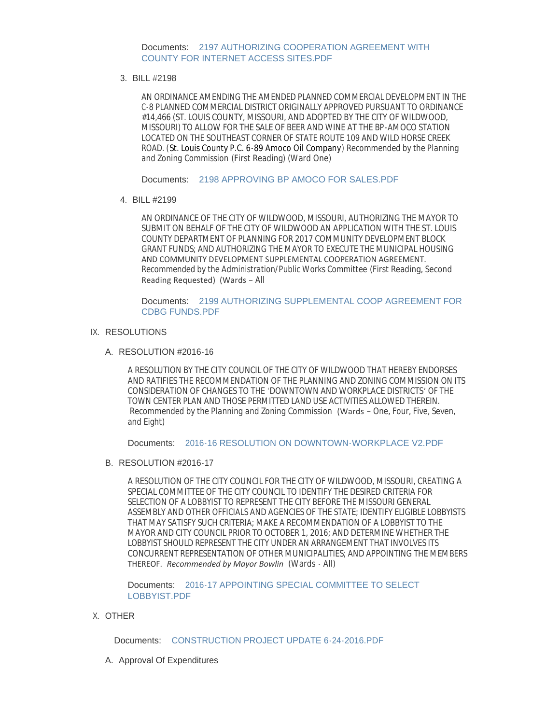Documents: 2197 AUTHORIZING COOPERATION AGREEMENT WITH COUNTY FOR INTERNET ACCESS SITES.PDF

#### BILL #2198 3.

AN ORDINANCE AMENDING THE AMENDED PLANNED COMMERCIAL DEVELOPMENT IN THE C-8 PLANNED COMMERCIAL DISTRICT ORIGINALLY APPROVED PURSUANT TO ORDINANCE #14,466 (ST. LOUIS COUNTY, MISSOURI, AND ADOPTED BY THE CITY OF WILDWOOD, MISSOURI) TO ALLOW FOR THE SALE OF BEER AND WINE AT THE BP-AMOCO STATION LOCATED ON THE SOUTHEAST CORNER OF STATE ROUTE 109 AND WILD HORSE CREEK ROAD. (St. Louis County P.C. 6-89 Amoco Oil Company) *Recommended by the Planning and Zoning Commission* (First Reading) (Ward One)

Documents: [2198 APPROVING BP AMOCO FOR SALES.PDF](http://mo-wildwood.civicplus.com/AgendaCenter/ViewFile/Item/7406?fileID=11094)

#### BILL #2199 4.

AN ORDINANCE OF THE CITY OF WILDWOOD, MISSOURI, AUTHORIZING THE MAYOR TO SUBMIT ON BEHALF OF THE CITY OF WILDWOOD AN APPLICATION WITH THE ST. LOUIS COUNTY DEPARTMENT OF PLANNING FOR 2017 COMMUNITY DEVELOPMENT BLOCK GRANT FUNDS; AND AUTHORIZING THE MAYOR TO EXECUTE THE MUNICIPAL HOUSING AND COMMUNITY DEVELOPMENT SUPPLEMENTAL COOPERATION AGREEMENT. *Recommended by the Administration/Public Works Committee* (First Reading, Second Reading Requested) (Wards – All

Documents: 2199 AUTHORIZING SUPPLEMENTAL COOP AGREEMENT FOR CDBG FUNDS.PDF

## IX. RESOLUTIONS

#### RESOLUTION #2016-16 A.

A RESOLUTION BY THE CITY COUNCIL OF THE CITY OF WILDWOOD THAT HEREBY ENDORSES AND RATIFIES THE RECOMMENDATION OF THE PLANNING AND ZONING COMMISSION ON ITS CONSIDERATION OF CHANGES TO THE 'DOWNTOWN AND WORKPLACE DISTRICTS' OF THE TOWN CENTER PLAN AND THOSE PERMITTED LAND USE ACTIVITIES ALLOWED THEREIN. *Recommended by the Planning and Zoning Commission* (Wards – One, Four, Five, Seven, and Eight)

Documents: [2016-16 RESOLUTION ON DOWNTOWN-WORKPLACE V2.PDF](http://mo-wildwood.civicplus.com/AgendaCenter/ViewFile/Item/7408?fileID=11096)

## B. RESOLUTION #2016-17

A RESOLUTION OF THE CITY COUNCIL FOR THE CITY OF WILDWOOD, MISSOURI, CREATING A SPECIAL COMMITTEE OF THE CITY COUNCIL TO IDENTIFY THE DESIRED CRITERIA FOR SELECTION OF A LOBBYIST TO REPRESENT THE CITY BEFORE THE MISSOURI GENERAL ASSEMBLY AND OTHER OFFICIALS AND AGENCIES OF THE STATE; IDENTIFY ELIGIBLE LOBBYISTS THAT MAY SATISFY SUCH CRITERIA; MAKE A RECOMMENDATION OF A LOBBYIST TO THE MAYOR AND CITY COUNCIL PRIOR TO OCTOBER 1, 2016; AND DETERMINE WHETHER THE LOBBYIST SHOULD REPRESENT THE CITY UNDER AN ARRANGEMENT THAT INVOLVES ITS CONCURRENT REPRESENTATION OF OTHER MUNICIPALITIES; AND APPOINTING THE MEMBERS THEREOF. *Recommended by Mayor Bowlin* (Wards - All)

Documents: 2016-17 APPOINTING SPECIAL COMMITTEE TO SELECT LOBBYIST.PDF

## X. OTHER

Documents: [CONSTRUCTION PROJECT UPDATE 6-24-2016.PDF](http://mo-wildwood.civicplus.com/AgendaCenter/ViewFile/Item/7375?fileID=11099)

A. Approval Of Expenditures